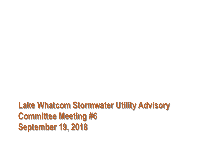**Lake Whatcom Stormwater Utility Advisory Committee Meeting #6 September 19, 2018**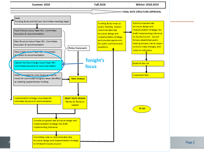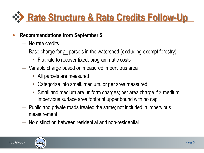

## **Recommendations from September 5**

- No rate credits
- Base charge for all parcels in the watershed (excluding exempt forestry)
	- Flat rate to recover fixed, programmatic costs
- Variable charge based on measured impervious area
	- All parcels are measured
	- Categorize into small, medium, or per area measured
	- Small and medium are uniform charges; per area charge if > medium impervious surface area footprint upper bound with no cap
- Public and private roads treated the same; not included in impervious measurement
- No distinction between residential and non-residential



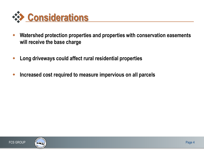

- **Watershed protection properties and properties with conservation easements will receive the base charge**
- **Long driveways could affect rural residential properties**
- **Increased cost required to measure impervious on all parcels**



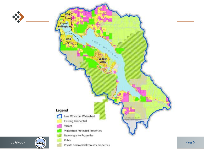

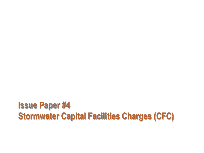## **Issue Paper #4 Stormwater Capital Facilities Charges (CFC)**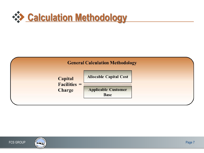





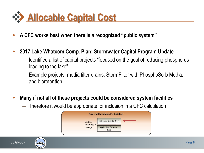

- **A CFC works best when there is a recognized "public system"**
- **2017 Lake Whatcom Comp. Plan: Stormwater Capital Program Update** 
	- Identified a list of capital projects "focused on the goal of reducing phosphorus loading to the lake"
	- Example projects: media filter drains, StormFilter with PhosphoSorb Media, and bioretention
- **Many if not all of these projects could be considered system facilities** 
	- Therefore it would be appropriate for inclusion in a CFC calculation





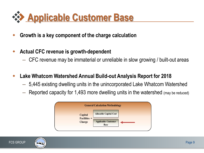

- **Growth is a key component of the charge calculation**
- **Actual CFC revenue is growth-dependent**
	- CFC revenue may be immaterial or unreliable in slow growing / built-out areas
- **Lake Whatcom Watershed Annual Build-out Analysis Report for 2018** 
	- 5,445 existing dwelling units in the unincorporated Lake Whatcom Watershed
	- Reported capacity for 1,493 more dwelling units in the watershed (may be reduced)



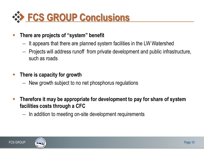

## **There are projects of "system" benefit**

- It appears that there are planned system facilities in the LW Watershed
- Projects will address runoff from private development and public infrastructure, such as roads
- **There is capacity for growth**
	- New growth subject to no net phosphorus regulations
- **Therefore it may be appropriate for development to pay for share of system facilities costs through a CFC**
	- In addition to meeting on-site development requirements